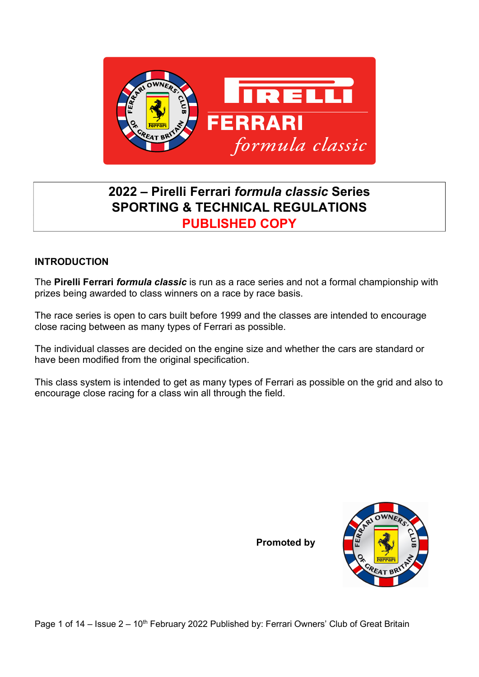

# 2022 – Pirelli Ferrari formula classic Series SPORTING & TECHNICAL REGULATIONS PUBLISHED COPY

## INTRODUCTION

The Pirelli Ferrari formula classic is run as a race series and not a formal championship with prizes being awarded to class winners on a race by race basis.

The race series is open to cars built before 1999 and the classes are intended to encourage close racing between as many types of Ferrari as possible.

The individual classes are decided on the engine size and whether the cars are standard or have been modified from the original specification.

This class system is intended to get as many types of Ferrari as possible on the grid and also to encourage close racing for a class win all through the field.



Promoted by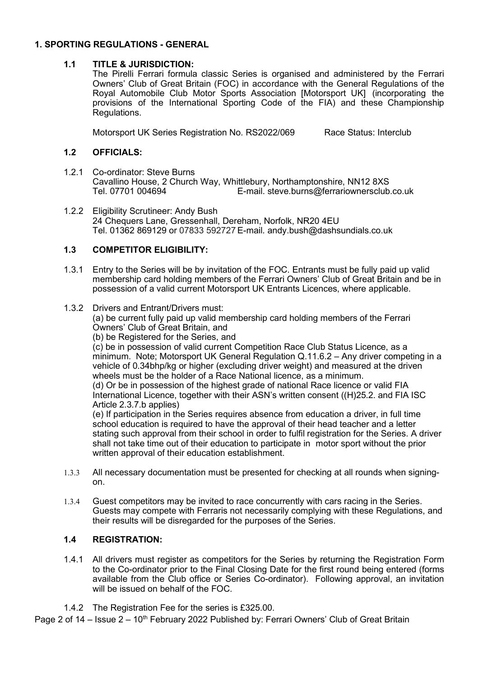#### 1. SPORTING REGULATIONS - GENERAL

## 1.1 TITLE & JURISDICTION:

The Pirelli Ferrari formula classic Series is organised and administered by the Ferrari Owners' Club of Great Britain (FOC) in accordance with the General Regulations of the Royal Automobile Club Motor Sports Association [Motorsport UK] (incorporating the provisions of the International Sporting Code of the FIA) and these Championship Regulations.

Motorsport UK Series Registration No. RS2022/069 Race Status: Interclub

## 1.2 OFFICIALS:

- 1.2.1 Co-ordinator: Steve Burns Cavallino House, 2 Church Way, Whittlebury, Northamptonshire, NN12 8XS Tel. 07701 004694 E-mail. steve.burns@ferrariownersclub.co.uk
- 1.2.2 Eligibility Scrutineer: Andy Bush 24 Chequers Lane, Gressenhall, Dereham, Norfolk, NR20 4EU Tel. 01362 869129 or 07833 592727 E-mail. andy.bush@dashsundials.co.uk

## 1.3 COMPETITOR ELIGIBILITY:

- 1.3.1 Entry to the Series will be by invitation of the FOC. Entrants must be fully paid up valid membership card holding members of the Ferrari Owners' Club of Great Britain and be in possession of a valid current Motorsport UK Entrants Licences, where applicable.
- 1.3.2 Drivers and Entrant/Drivers must: (a) be current fully paid up valid membership card holding members of the Ferrari Owners' Club of Great Britain, and (b) be Registered for the Series, and (c) be in possession of valid current Competition Race Club Status Licence, as a minimum. Note; Motorsport UK General Regulation Q.11.6.2 – Any driver competing in a vehicle of 0.34bhp/kg or higher (excluding driver weight) and measured at the driven wheels must be the holder of a Race National licence, as a minimum.

(d) Or be in possession of the highest grade of national Race licence or valid FIA International Licence, together with their ASN's written consent ((H)25.2. and FIA ISC Article 2.3.7.b applies)

(e) If participation in the Series requires absence from education a driver, in full time school education is required to have the approval of their head teacher and a letter stating such approval from their school in order to fulfil registration for the Series. A driver shall not take time out of their education to participate in motor sport without the prior written approval of their education establishment.

- 1.3.3 All necessary documentation must be presented for checking at all rounds when signingon.
- 1.3.4 Guest competitors may be invited to race concurrently with cars racing in the Series. Guests may compete with Ferraris not necessarily complying with these Regulations, and their results will be disregarded for the purposes of the Series.

## 1.4 REGISTRATION:

 1.4.1 All drivers must register as competitors for the Series by returning the Registration Form to the Co-ordinator prior to the Final Closing Date for the first round being entered (forms available from the Club office or Series Co-ordinator). Following approval, an invitation will be issued on behalf of the FOC.

1.4.2 The Registration Fee for the series is £325.00.

Page 2 of 14 – Issue 2 – 10<sup>th</sup> February 2022 Published by: Ferrari Owners' Club of Great Britain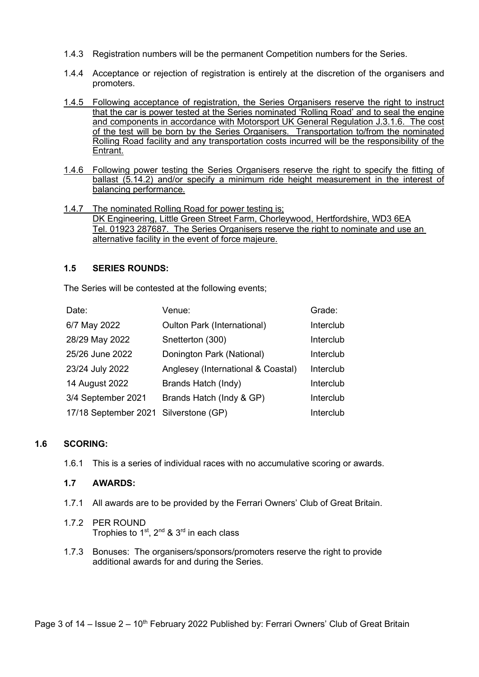- 1.4.3 Registration numbers will be the permanent Competition numbers for the Series.
- 1.4.4 Acceptance or rejection of registration is entirely at the discretion of the organisers and promoters.
- 1.4.5 Following acceptance of registration, the Series Organisers reserve the right to instruct that the car is power tested at the Series nominated 'Rolling Road' and to seal the engine and components in accordance with Motorsport UK General Regulation J.3.1.6. The cost of the test will be born by the Series Organisers. Transportation to/from the nominated Rolling Road facility and any transportation costs incurred will be the responsibility of the Entrant.
- 1.4.6 Following power testing the Series Organisers reserve the right to specify the fitting of ballast (5.14.2) and/or specify a minimum ride height measurement in the interest of balancing performance.
- 1.4.7 The nominated Rolling Road for power testing is; DK Engineering, Little Green Street Farm, Chorleywood, Hertfordshire, WD3 6EA Tel. 01923 287687. The Series Organisers reserve the right to nominate and use an alternative facility in the event of force majeure.

#### 1.5 SERIES ROUNDS:

The Series will be contested at the following events;

| Date:                                 | Venue:                             | Grade:    |
|---------------------------------------|------------------------------------|-----------|
| 6/7 May 2022                          | <b>Oulton Park (International)</b> | Interclub |
| 28/29 May 2022                        | Snetterton (300)                   | Interclub |
| 25/26 June 2022                       | Donington Park (National)          | Interclub |
| 23/24 July 2022                       | Anglesey (International & Coastal) | Interclub |
| 14 August 2022                        | Brands Hatch (Indy)                | Interclub |
| 3/4 September 2021                    | Brands Hatch (Indy & GP)           | Interclub |
| 17/18 September 2021 Silverstone (GP) |                                    | Interclub |

## 1.6 SCORING:

1.6.1 This is a series of individual races with no accumulative scoring or awards.

#### 1.7 AWARDS:

- 1.7.1 All awards are to be provided by the Ferrari Owners' Club of Great Britain.
- 1.7.2 PER ROUND Trophies to 1<sup>st</sup>, 2<sup>nd</sup> & 3<sup>rd</sup> in each class
- 1.7.3 Bonuses: The organisers/sponsors/promoters reserve the right to provide additional awards for and during the Series.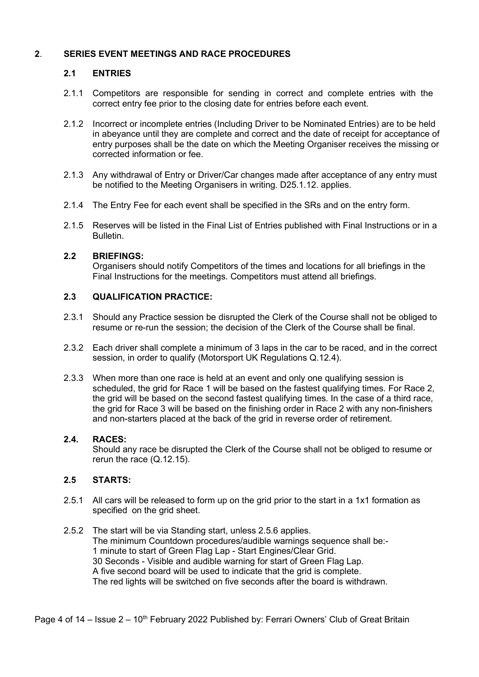## 2. SERIES EVENT MEETINGS AND RACE PROCEDURES

## 2.1 ENTRIES

- 2.1.1 Competitors are responsible for sending in correct and complete entries with the correct entry fee prior to the closing date for entries before each event.
- 2.1.2 Incorrect or incomplete entries (Including Driver to be Nominated Entries) are to be held in abeyance until they are complete and correct and the date of receipt for acceptance of entry purposes shall be the date on which the Meeting Organiser receives the missing or corrected information or fee.
- 2.1.3 Any withdrawal of Entry or Driver/Car changes made after acceptance of any entry must be notified to the Meeting Organisers in writing. D25.1.12. applies.
- 2.1.4 The Entry Fee for each event shall be specified in the SRs and on the entry form.
- 2.1.5 Reserves will be listed in the Final List of Entries published with Final Instructions or in a Bulletin.

#### 2.2 BRIEFINGS:

Organisers should notify Competitors of the times and locations for all briefings in the Final Instructions for the meetings. Competitors must attend all briefings.

#### 2.3 QUALIFICATION PRACTICE:

- 2.3.1 Should any Practice session be disrupted the Clerk of the Course shall not be obliged to resume or re-run the session; the decision of the Clerk of the Course shall be final.
- 2.3.2 Each driver shall complete a minimum of 3 laps in the car to be raced, and in the correct session, in order to qualify (Motorsport UK Regulations Q.12.4).
- 2.3.3 When more than one race is held at an event and only one qualifying session is scheduled, the grid for Race 1 will be based on the fastest qualifying times. For Race 2, the grid will be based on the second fastest qualifying times. In the case of a third race, the grid for Race 3 will be based on the finishing order in Race 2 with any non-finishers and non-starters placed at the back of the grid in reverse order of retirement.

#### 2.4. RACES:

Should any race be disrupted the Clerk of the Course shall not be obliged to resume or rerun the race (Q.12.15).

## 2.5 STARTS:

- 2.5.1 All cars will be released to form up on the grid prior to the start in a 1x1 formation as specified on the grid sheet.
- 2.5.2 The start will be via Standing start, unless 2.5.6 applies. The minimum Countdown procedures/audible warnings sequence shall be:- 1 minute to start of Green Flag Lap - Start Engines/Clear Grid. 30 Seconds - Visible and audible warning for start of Green Flag Lap. A five second board will be used to indicate that the grid is complete. The red lights will be switched on five seconds after the board is withdrawn.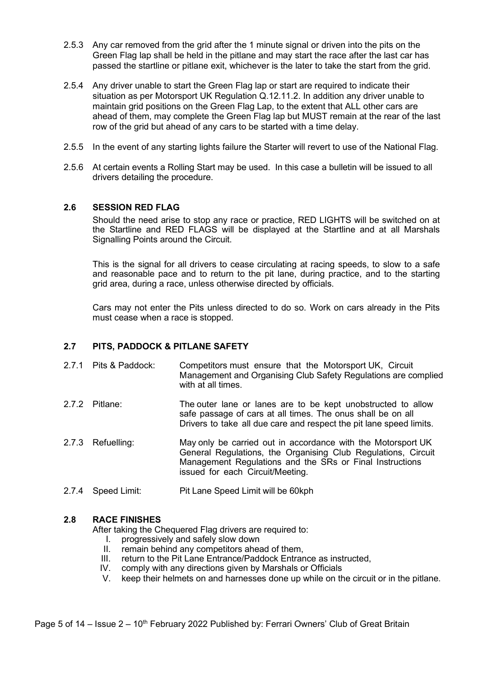- 2.5.3 Any car removed from the grid after the 1 minute signal or driven into the pits on the Green Flag lap shall be held in the pitlane and may start the race after the last car has passed the startline or pitlane exit, whichever is the later to take the start from the grid.
- 2.5.4 Any driver unable to start the Green Flag lap or start are required to indicate their situation as per Motorsport UK Regulation Q.12.11.2. In addition any driver unable to maintain grid positions on the Green Flag Lap, to the extent that ALL other cars are ahead of them, may complete the Green Flag lap but MUST remain at the rear of the last row of the grid but ahead of any cars to be started with a time delay.
- 2.5.5 In the event of any starting lights failure the Starter will revert to use of the National Flag.
- 2.5.6 At certain events a Rolling Start may be used. In this case a bulletin will be issued to all drivers detailing the procedure.

## 2.6 SESSION RED FLAG

Should the need arise to stop any race or practice, RED LIGHTS will be switched on at the Startline and RED FLAGS will be displayed at the Startline and at all Marshals Signalling Points around the Circuit.

This is the signal for all drivers to cease circulating at racing speeds, to slow to a safe and reasonable pace and to return to the pit lane, during practice, and to the starting grid area, during a race, unless otherwise directed by officials.

Cars may not enter the Pits unless directed to do so. Work on cars already in the Pits must cease when a race is stopped.

#### 2.7 PITS, PADDOCK & PITLANE SAFETY

- 2.7.1 Pits & Paddock: Competitors must ensure that the Motorsport UK, Circuit Management and Organising Club Safety Regulations are complied with at all times.
- 2.7.2 Pitlane: The outer lane or lanes are to be kept unobstructed to allow safe passage of cars at all times. The onus shall be on all Drivers to take all due care and respect the pit lane speed limits.
- 2.7.3 Refuelling: May only be carried out in accordance with the Motorsport UK General Regulations, the Organising Club Regulations, Circuit Management Regulations and the SRs or Final Instructions issued for each Circuit/Meeting.
- 2.7.4 Speed Limit: Pit Lane Speed Limit will be 60kph

#### 2.8 RACE FINISHES

After taking the Chequered Flag drivers are required to:

- I. progressively and safely slow down
- II. remain behind any competitors ahead of them,
- III. return to the Pit Lane Entrance/Paddock Entrance as instructed,
- IV. comply with any directions given by Marshals or Officials
- V. keep their helmets on and harnesses done up while on the circuit or in the pitlane.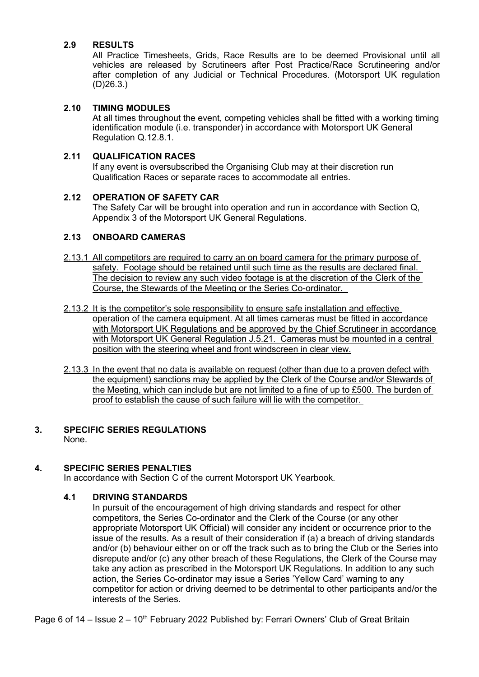## 2.9 RESULTS

All Practice Timesheets, Grids, Race Results are to be deemed Provisional until all vehicles are released by Scrutineers after Post Practice/Race Scrutineering and/or after completion of any Judicial or Technical Procedures. (Motorsport UK regulation (D)26.3.)

## 2.10 TIMING MODULES

At all times throughout the event, competing vehicles shall be fitted with a working timing identification module (i.e. transponder) in accordance with Motorsport UK General Regulation Q.12.8.1.

## 2.11 QUALIFICATION RACES

If any event is oversubscribed the Organising Club may at their discretion run Qualification Races or separate races to accommodate all entries.

## 2.12 OPERATION OF SAFETY CAR

The Safety Car will be brought into operation and run in accordance with Section Q, Appendix 3 of the Motorsport UK General Regulations.

## 2.13 ONBOARD CAMERAS

- 2.13.1 All competitors are required to carry an on board camera for the primary purpose of safety. Footage should be retained until such time as the results are declared final. The decision to review any such video footage is at the discretion of the Clerk of the Course, the Stewards of the Meeting or the Series Co-ordinator.
- 2.13.2 It is the competitor's sole responsibility to ensure safe installation and effective operation of the camera equipment. At all times cameras must be fitted in accordance with Motorsport UK Regulations and be approved by the Chief Scrutineer in accordance with Motorsport UK General Regulation J.5.21. Cameras must be mounted in a central position with the steering wheel and front windscreen in clear view.
- 2.13.3 In the event that no data is available on request (other than due to a proven defect with the equipment) sanctions may be applied by the Clerk of the Course and/or Stewards of the Meeting, which can include but are not limited to a fine of up to £500. The burden of proof to establish the cause of such failure will lie with the competitor.

#### 3. SPECIFIC SERIES REGULATIONS None.

## 4. SPECIFIC SERIES PENALTIES

In accordance with Section C of the current Motorsport UK Yearbook.

## 4.1 DRIVING STANDARDS

In pursuit of the encouragement of high driving standards and respect for other competitors, the Series Co-ordinator and the Clerk of the Course (or any other appropriate Motorsport UK Official) will consider any incident or occurrence prior to the issue of the results. As a result of their consideration if (a) a breach of driving standards and/or (b) behaviour either on or off the track such as to bring the Club or the Series into disrepute and/or (c) any other breach of these Regulations, the Clerk of the Course may take any action as prescribed in the Motorsport UK Regulations. In addition to any such action, the Series Co-ordinator may issue a Series 'Yellow Card' warning to any competitor for action or driving deemed to be detrimental to other participants and/or the interests of the Series.

Page 6 of 14 – Issue 2 – 10<sup>th</sup> February 2022 Published by: Ferrari Owners' Club of Great Britain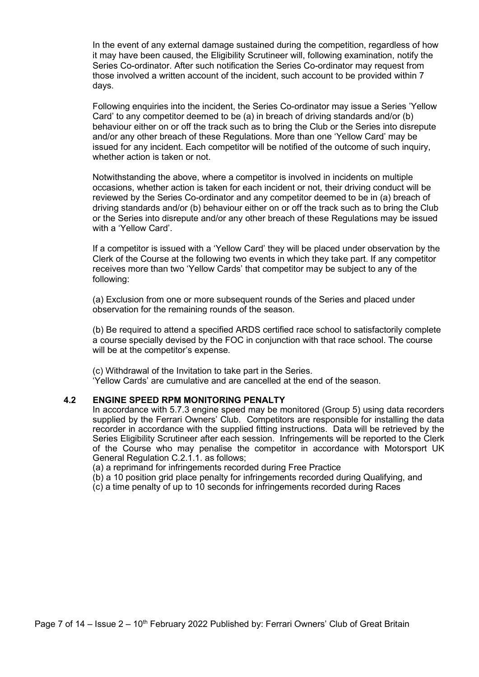In the event of any external damage sustained during the competition, regardless of how it may have been caused, the Eligibility Scrutineer will, following examination, notify the Series Co-ordinator. After such notification the Series Co-ordinator may request from those involved a written account of the incident, such account to be provided within 7 days.

Following enquiries into the incident, the Series Co-ordinator may issue a Series 'Yellow Card' to any competitor deemed to be (a) in breach of driving standards and/or (b) behaviour either on or off the track such as to bring the Club or the Series into disrepute and/or any other breach of these Regulations. More than one 'Yellow Card' may be issued for any incident. Each competitor will be notified of the outcome of such inquiry, whether action is taken or not.

Notwithstanding the above, where a competitor is involved in incidents on multiple occasions, whether action is taken for each incident or not, their driving conduct will be reviewed by the Series Co-ordinator and any competitor deemed to be in (a) breach of driving standards and/or (b) behaviour either on or off the track such as to bring the Club or the Series into disrepute and/or any other breach of these Regulations may be issued with a 'Yellow Card'.

If a competitor is issued with a 'Yellow Card' they will be placed under observation by the Clerk of the Course at the following two events in which they take part. If any competitor receives more than two 'Yellow Cards' that competitor may be subject to any of the following:

(a) Exclusion from one or more subsequent rounds of the Series and placed under observation for the remaining rounds of the season.

(b) Be required to attend a specified ARDS certified race school to satisfactorily complete a course specially devised by the FOC in conjunction with that race school. The course will be at the competitor's expense.

(c) Withdrawal of the Invitation to take part in the Series. 'Yellow Cards' are cumulative and are cancelled at the end of the season.

#### 4.2 ENGINE SPEED RPM MONITORING PENALTY

In accordance with 5.7.3 engine speed may be monitored (Group 5) using data recorders supplied by the Ferrari Owners' Club. Competitors are responsible for installing the data recorder in accordance with the supplied fitting instructions. Data will be retrieved by the Series Eligibility Scrutineer after each session. Infringements will be reported to the Clerk of the Course who may penalise the competitor in accordance with Motorsport UK General Regulation C.2.1.1. as follows;

(a) a reprimand for infringements recorded during Free Practice

(b) a 10 position grid place penalty for infringements recorded during Qualifying, and

(c) a time penalty of up to 10 seconds for infringements recorded during Races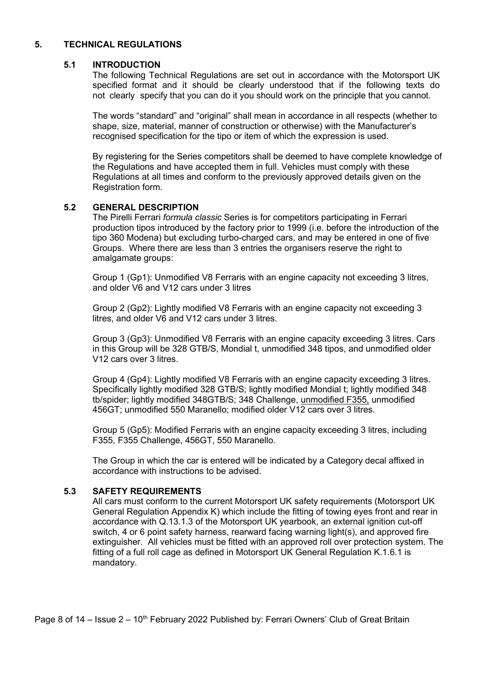#### 5. TECHNICAL REGULATIONS

#### 5.1 INTRODUCTION

The following Technical Regulations are set out in accordance with the Motorsport UK specified format and it should be clearly understood that if the following texts do not clearly specify that you can do it you should work on the principle that you cannot.

The words "standard" and "original" shall mean in accordance in all respects (whether to shape, size, material, manner of construction or otherwise) with the Manufacturer's recognised specification for the tipo or item of which the expression is used.

By registering for the Series competitors shall be deemed to have complete knowledge of the Regulations and have accepted them in full. Vehicles must comply with these Regulations at all times and conform to the previously approved details given on the Registration form.

#### 5.2 GENERAL DESCRIPTION

The Pirelli Ferrari formula classic Series is for competitors participating in Ferrari production tipos introduced by the factory prior to 1999 (i.e. before the introduction of the tipo 360 Modena) but excluding turbo-charged cars, and may be entered in one of five Groups. Where there are less than 3 entries the organisers reserve the right to amalgamate groups:

Group 1 (Gp1): Unmodified V8 Ferraris with an engine capacity not exceeding 3 litres, and older V6 and V12 cars under 3 litres

Group 2 (Gp2): Lightly modified V8 Ferraris with an engine capacity not exceeding 3 litres, and older V6 and V12 cars under 3 litres.

Group 3 (Gp3): Unmodified V8 Ferraris with an engine capacity exceeding 3 litres. Cars in this Group will be 328 GTB/S, Mondial t, unmodified 348 tipos, and unmodified older V12 cars over 3 litres.

Group 4 (Gp4): Lightly modified V8 Ferraris with an engine capacity exceeding 3 litres. Specifically lightly modified 328 GTB/S; lightly modified Mondial t; lightly modified 348 tb/spider; lightly modified 348GTB/S; 348 Challenge, unmodified F355, unmodified 456GT; unmodified 550 Maranello; modified older V12 cars over 3 litres.

Group 5 (Gp5): Modified Ferraris with an engine capacity exceeding 3 litres, including F355, F355 Challenge, 456GT, 550 Maranello.

The Group in which the car is entered will be indicated by a Category decal affixed in accordance with instructions to be advised.

## 5.3 SAFETY REQUIREMENTS

 All cars must conform to the current Motorsport UK safety requirements (Motorsport UK General Regulation Appendix K) which include the fitting of towing eyes front and rear in accordance with Q.13.1.3 of the Motorsport UK yearbook, an external ignition cut-off switch, 4 or 6 point safety harness, rearward facing warning light(s), and approved fire extinguisher. All vehicles must be fitted with an approved roll over protection system. The fitting of a full roll cage as defined in Motorsport UK General Regulation K.1.6.1 is mandatory.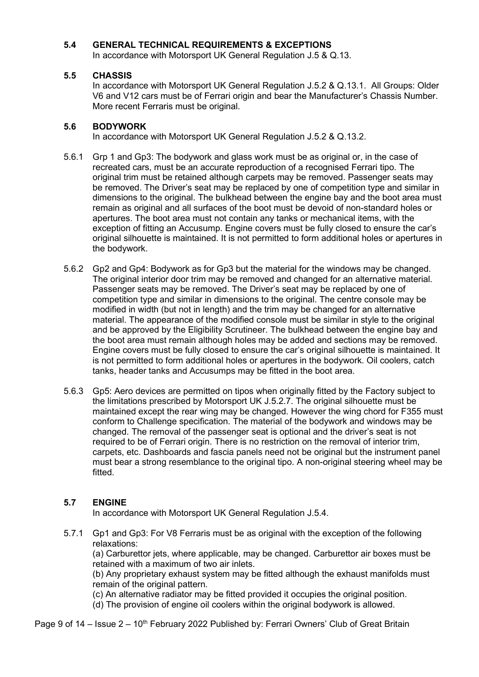## 5.4 GENERAL TECHNICAL REQUIREMENTS & EXCEPTIONS

In accordance with Motorsport UK General Regulation J.5 & Q.13.

#### 5.5 CHASSIS

In accordance with Motorsport UK General Regulation J.5.2 & Q.13.1. All Groups: Older V6 and V12 cars must be of Ferrari origin and bear the Manufacturer's Chassis Number. More recent Ferraris must be original.

#### 5.6 BODYWORK

In accordance with Motorsport UK General Regulation J.5.2 & Q.13.2.

- 5.6.1 Grp 1 and Gp3: The bodywork and glass work must be as original or, in the case of recreated cars, must be an accurate reproduction of a recognised Ferrari tipo. The original trim must be retained although carpets may be removed. Passenger seats may be removed. The Driver's seat may be replaced by one of competition type and similar in dimensions to the original. The bulkhead between the engine bay and the boot area must remain as original and all surfaces of the boot must be devoid of non-standard holes or apertures. The boot area must not contain any tanks or mechanical items, with the exception of fitting an Accusump. Engine covers must be fully closed to ensure the car's original silhouette is maintained. It is not permitted to form additional holes or apertures in the bodywork.
- 5.6.2 Gp2 and Gp4: Bodywork as for Gp3 but the material for the windows may be changed. The original interior door trim may be removed and changed for an alternative material. Passenger seats may be removed. The Driver's seat may be replaced by one of competition type and similar in dimensions to the original. The centre console may be modified in width (but not in length) and the trim may be changed for an alternative material. The appearance of the modified console must be similar in style to the original and be approved by the Eligibility Scrutineer. The bulkhead between the engine bay and the boot area must remain although holes may be added and sections may be removed. Engine covers must be fully closed to ensure the car's original silhouette is maintained. It is not permitted to form additional holes or apertures in the bodywork. Oil coolers, catch tanks, header tanks and Accusumps may be fitted in the boot area.
- 5.6.3 Gp5: Aero devices are permitted on tipos when originally fitted by the Factory subject to the limitations prescribed by Motorsport UK J.5.2.7. The original silhouette must be maintained except the rear wing may be changed. However the wing chord for F355 must conform to Challenge specification. The material of the bodywork and windows may be changed. The removal of the passenger seat is optional and the driver's seat is not required to be of Ferrari origin. There is no restriction on the removal of interior trim, carpets, etc. Dashboards and fascia panels need not be original but the instrument panel must bear a strong resemblance to the original tipo. A non-original steering wheel may be fitted.

#### 5.7 ENGINE

In accordance with Motorsport UK General Regulation J.5.4.

- 5.7.1 Gp1 and Gp3: For V8 Ferraris must be as original with the exception of the following relaxations: (a) Carburettor jets, where applicable, may be changed. Carburettor air boxes must be retained with a maximum of two air inlets. (b) Any proprietary exhaust system may be fitted although the exhaust manifolds must remain of the original pattern.
	- (c) An alternative radiator may be fitted provided it occupies the original position.
	- (d) The provision of engine oil coolers within the original bodywork is allowed.

Page 9 of 14 – Issue  $2 - 10$ <sup>th</sup> February 2022 Published by: Ferrari Owners' Club of Great Britain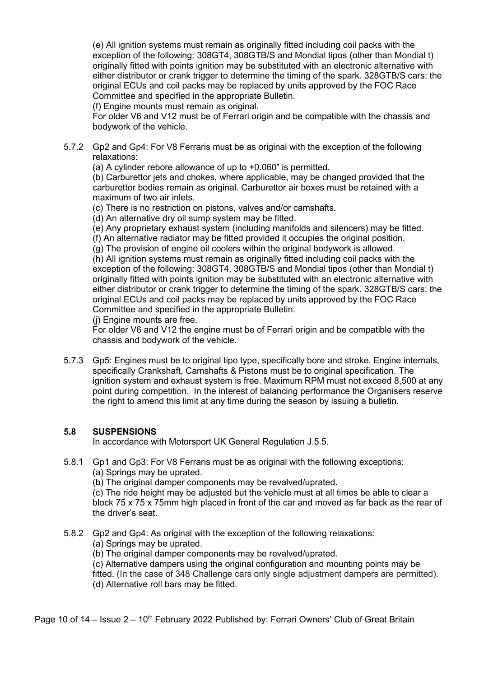(e) All ignition systems must remain as originally fitted including coil packs with the exception of the following: 308GT4, 308GTB/S and Mondial tipos (other than Mondial t) originally fitted with points ignition may be substituted with an electronic alternative with either distributor or crank trigger to determine the timing of the spark. 328GTB/S cars: the original ECUs and coil packs may be replaced by units approved by the FOC Race Committee and specified in the appropriate Bulletin.

(f) Engine mounts must remain as original.

For older V6 and V12 must be of Ferrari origin and be compatible with the chassis and bodywork of the vehicle.

5.7.2 Gp2 and Gp4: For V8 Ferraris must be as original with the exception of the following relaxations:

(a) A cylinder rebore allowance of up to +0.060" is permitted.

(b) Carburettor jets and chokes, where applicable, may be changed provided that the carburettor bodies remain as original. Carburettor air boxes must be retained with a maximum of two air inlets.

(c) There is no restriction on pistons, valves and/or camshafts.

(d) An alternative dry oil sump system may be fitted.

(e) Any proprietary exhaust system (including manifolds and silencers) may be fitted.

(f) An alternative radiator may be fitted provided it occupies the original position.

(g) The provision of engine oil coolers within the original bodywork is allowed.

(h) All ignition systems must remain as originally fitted including coil packs with the exception of the following: 308GT4, 308GTB/S and Mondial tipos (other than Mondial t) originally fitted with points ignition may be substituted with an electronic alternative with either distributor or crank trigger to determine the timing of the spark. 328GTB/S cars: the original ECUs and coil packs may be replaced by units approved by the FOC Race Committee and specified in the appropriate Bulletin.

(j) Engine mounts are free.

For older V6 and V12 the engine must be of Ferrari origin and be compatible with the chassis and bodywork of the vehicle.

5.7.3 Gp5: Engines must be to original tipo type, specifically bore and stroke. Engine internals, specifically Crankshaft, Camshafts & Pistons must be to original specification. The ignition system and exhaust system is free. Maximum RPM must not exceed 8,500 at any point during competition. In the interest of balancing performance the Organisers reserve the right to amend this limit at any time during the season by issuing a bulletin.

#### 5.8 SUSPENSIONS

In accordance with Motorsport UK General Regulation J.5.5.

5.8.1 Gp1 and Gp3: For V8 Ferraris must be as original with the following exceptions:

(a) Springs may be uprated.

(b) The original damper components may be revalved/uprated.

(c) The ride height may be adjusted but the vehicle must at all times be able to clear a block 75 x 75 x 75mm high placed in front of the car and moved as far back as the rear of the driver's seat.

5.8.2 Gp2 and Gp4: As original with the exception of the following relaxations:

(a) Springs may be uprated.

(b) The original damper components may be revalved/uprated.

(c) Alternative dampers using the original configuration and mounting points may be

fitted. (In the case of 348 Challenge cars only single adjustment dampers are permitted). (d) Alternative roll bars may be fitted.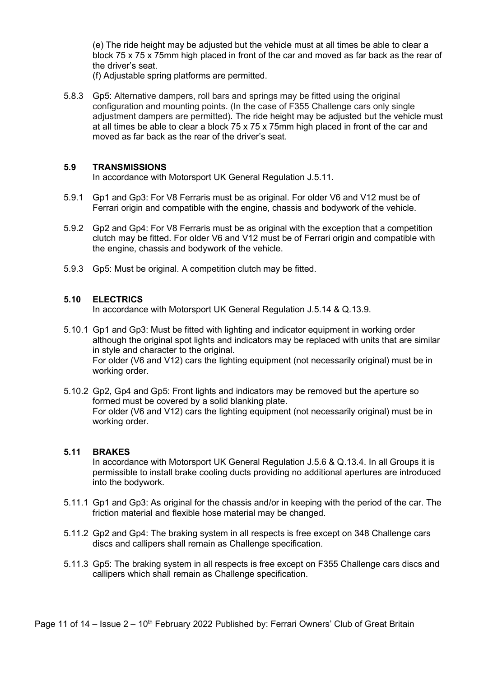(e) The ride height may be adjusted but the vehicle must at all times be able to clear a block 75 x 75 x 75mm high placed in front of the car and moved as far back as the rear of the driver's seat.

(f) Adjustable spring platforms are permitted.

5.8.3 Gp5: Alternative dampers, roll bars and springs may be fitted using the original configuration and mounting points. (In the case of F355 Challenge cars only single adjustment dampers are permitted). The ride height may be adjusted but the vehicle must at all times be able to clear a block 75 x 75 x 75mm high placed in front of the car and moved as far back as the rear of the driver's seat.

#### 5.9 TRANSMISSIONS

In accordance with Motorsport UK General Regulation J.5.11.

- 5.9.1 Gp1 and Gp3: For V8 Ferraris must be as original. For older V6 and V12 must be of Ferrari origin and compatible with the engine, chassis and bodywork of the vehicle.
- 5.9.2 Gp2 and Gp4: For V8 Ferraris must be as original with the exception that a competition clutch may be fitted. For older V6 and V12 must be of Ferrari origin and compatible with the engine, chassis and bodywork of the vehicle.
- 5.9.3 Gp5: Must be original. A competition clutch may be fitted.

#### 5.10 ELECTRICS

In accordance with Motorsport UK General Regulation J.5.14 & Q.13.9.

- 5.10.1 Gp1 and Gp3: Must be fitted with lighting and indicator equipment in working order although the original spot lights and indicators may be replaced with units that are similar in style and character to the original. For older (V6 and V12) cars the lighting equipment (not necessarily original) must be in working order.
- 5.10.2 Gp2, Gp4 and Gp5: Front lights and indicators may be removed but the aperture so formed must be covered by a solid blanking plate. For older (V6 and V12) cars the lighting equipment (not necessarily original) must be in working order.

#### 5.11 BRAKES

In accordance with Motorsport UK General Regulation J.5.6 & Q.13.4. In all Groups it is permissible to install brake cooling ducts providing no additional apertures are introduced into the bodywork.

- 5.11.1 Gp1 and Gp3: As original for the chassis and/or in keeping with the period of the car. The friction material and flexible hose material may be changed.
- 5.11.2 Gp2 and Gp4: The braking system in all respects is free except on 348 Challenge cars discs and callipers shall remain as Challenge specification.
- 5.11.3 Gp5: The braking system in all respects is free except on F355 Challenge cars discs and callipers which shall remain as Challenge specification.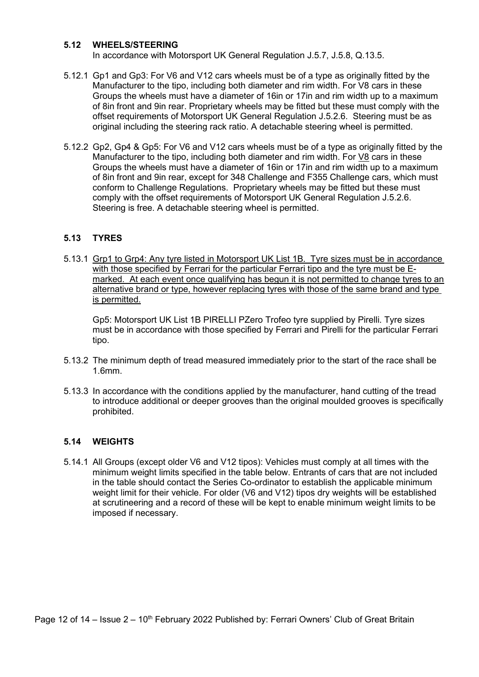#### 5.12 WHEELS/STEERING

In accordance with Motorsport UK General Regulation J.5.7, J.5.8, Q.13.5.

- 5.12.1 Gp1 and Gp3: For V6 and V12 cars wheels must be of a type as originally fitted by the Manufacturer to the tipo, including both diameter and rim width. For V8 cars in these Groups the wheels must have a diameter of 16in or 17in and rim width up to a maximum of 8in front and 9in rear. Proprietary wheels may be fitted but these must comply with the offset requirements of Motorsport UK General Regulation J.5.2.6. Steering must be as original including the steering rack ratio. A detachable steering wheel is permitted.
- 5.12.2 Gp2, Gp4 & Gp5: For V6 and V12 cars wheels must be of a type as originally fitted by the Manufacturer to the tipo, including both diameter and rim width. For V8 cars in these Groups the wheels must have a diameter of 16in or 17in and rim width up to a maximum of 8in front and 9in rear, except for 348 Challenge and F355 Challenge cars, which must conform to Challenge Regulations. Proprietary wheels may be fitted but these must comply with the offset requirements of Motorsport UK General Regulation J.5.2.6. Steering is free. A detachable steering wheel is permitted.

#### 5.13 TYRES

5.13.1 Grp1 to Grp4: Any tyre listed in Motorsport UK List 1B. Tyre sizes must be in accordance with those specified by Ferrari for the particular Ferrari tipo and the tyre must be Emarked. At each event once qualifying has begun it is not permitted to change tyres to an alternative brand or type, however replacing tyres with those of the same brand and type is permitted.

Gp5: Motorsport UK List 1B PIRELLI PZero Trofeo tyre supplied by Pirelli. Tyre sizes must be in accordance with those specified by Ferrari and Pirelli for the particular Ferrari tipo.

- 5.13.2 The minimum depth of tread measured immediately prior to the start of the race shall be 1.6mm.
- 5.13.3 In accordance with the conditions applied by the manufacturer, hand cutting of the tread to introduce additional or deeper grooves than the original moulded grooves is specifically prohibited.

## 5.14 WEIGHTS

5.14.1 All Groups (except older V6 and V12 tipos): Vehicles must comply at all times with the minimum weight limits specified in the table below. Entrants of cars that are not included in the table should contact the Series Co-ordinator to establish the applicable minimum weight limit for their vehicle. For older (V6 and V12) tipos dry weights will be established at scrutineering and a record of these will be kept to enable minimum weight limits to be imposed if necessary.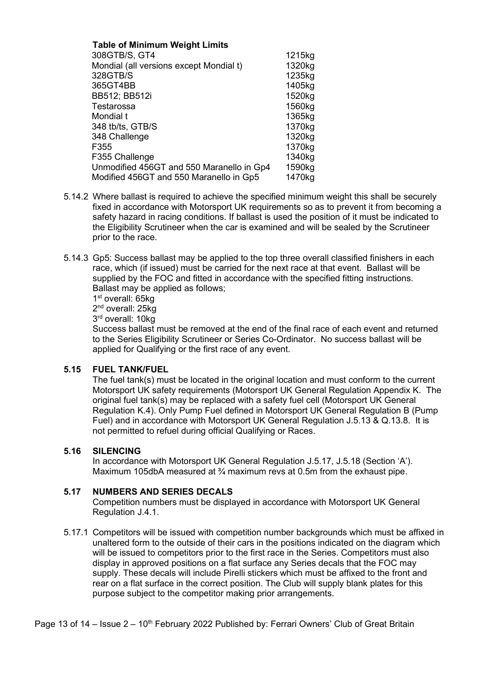Table of Minimum Weight Limits 308GTB/S, GT4 1215kg Mondial (all versions except Mondial t) 1320kg 328GTB/S 1235kg 365GT4BB 1405kg BB512: BB512i 1520kg Testarossa 1560kg Mondial t 1365kg 348 tb/ts, GTB/S 1370kg 348 Challenge 1320kg F355 1370kg F355 Challenge 1340kg Unmodified 456GT and 550 Maranello in Gp4 1590kg Modified 456GT and 550 Maranello in Gp5 1470kg

- 5.14.2 Where ballast is required to achieve the specified minimum weight this shall be securely fixed in accordance with Motorsport UK requirements so as to prevent it from becoming a safety hazard in racing conditions. If ballast is used the position of it must be indicated to the Eligibility Scrutineer when the car is examined and will be sealed by the Scrutineer prior to the race.
- 5.14.3 Gp5: Success ballast may be applied to the top three overall classified finishers in each race, which (if issued) must be carried for the next race at that event. Ballast will be supplied by the FOC and fitted in accordance with the specified fitting instructions. Ballast may be applied as follows;

1<sup>st</sup> overall: 65kg

2<sup>nd</sup> overall: 25kg

3<sup>rd</sup> overall: 10kg

 Success ballast must be removed at the end of the final race of each event and returned to the Series Eligibility Scrutineer or Series Co-Ordinator. No success ballast will be applied for Qualifying or the first race of any event.

## 5.15 FUEL TANK/FUEL

The fuel tank(s) must be located in the original location and must conform to the current Motorsport UK safety requirements (Motorsport UK General Regulation Appendix K. The original fuel tank(s) may be replaced with a safety fuel cell (Motorsport UK General Regulation K.4). Only Pump Fuel defined in Motorsport UK General Regulation B (Pump Fuel) and in accordance with Motorsport UK General Regulation J.5.13 & Q.13.8. It is not permitted to refuel during official Qualifying or Races.

## 5.16 SILENCING

In accordance with Motorsport UK General Regulation J.5.17, J.5.18 (Section 'A'). Maximum 105dbA measured at <sup>3</sup>/<sub>4</sub> maximum revs at 0.5m from the exhaust pipe.

## 5.17 NUMBERS AND SERIES DECALS

Competition numbers must be displayed in accordance with Motorsport UK General Regulation J.4.1.

5.17.1 Competitors will be issued with competition number backgrounds which must be affixed in unaltered form to the outside of their cars in the positions indicated on the diagram which will be issued to competitors prior to the first race in the Series. Competitors must also display in approved positions on a flat surface any Series decals that the FOC may supply. These decals will include Pirelli stickers which must be affixed to the front and rear on a flat surface in the correct position. The Club will supply blank plates for this purpose subject to the competitor making prior arrangements.

Page 13 of 14 – Issue  $2 - 10$ <sup>th</sup> February 2022 Published by: Ferrari Owners' Club of Great Britain